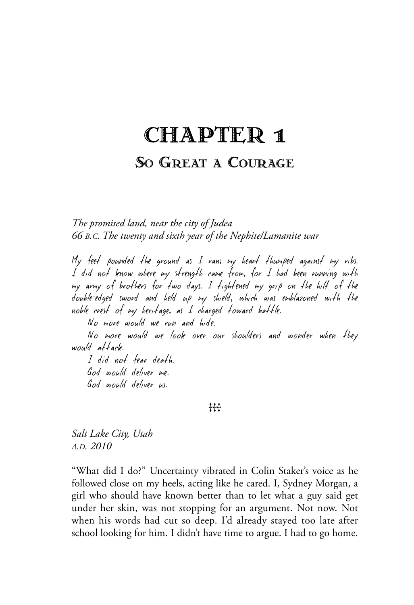## CHAPTER 1

### SO GREAT A COURAGE

*The promised land, near the city of Judea 66 B.C. The twenty and sixth year of the Nephite/Lamanite war*

My feet pounded the ground as I ran; my heart thumped against my ribs. I did not know where my strength came from, for I had been running with my army of brothers for two days. I tightened my grip on the hilt of the double-edged sword and held up my shield, which was emblazoned with the noble crest of my heritage, as I charged toward battle.

No more would we run and hide.

No more would we look over our shoulders and wonder when they would attack.

I did not fear death. God would deliver me. God would deliver us.

#### 111

*Salt Lake City, Utah A.D. 2010*

"What did I do?" Uncertainty vibrated in Colin Staker's voice as he followed close on my heels, acting like he cared. I, Sydney Morgan, a girl who should have known better than to let what a guy said get under her skin, was not stopping for an argument. Not now. Not when his words had cut so deep. I'd already stayed too late after school looking for him. I didn't have time to argue. I had to go home.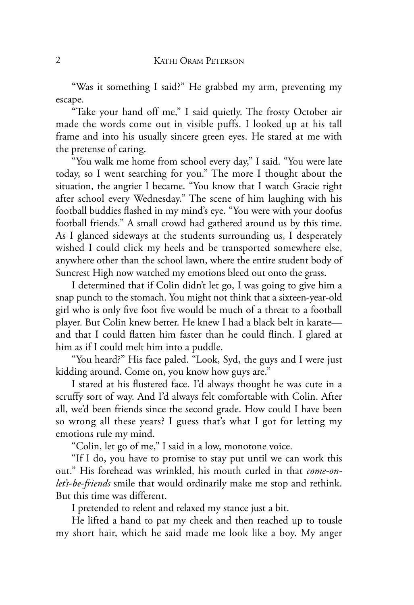"Was it something I said?" He grabbed my arm, preventing my escape.

"Take your hand off me," I said quietly. The frosty October air made the words come out in visible puffs. I looked up at his tall frame and into his usually sincere green eyes. He stared at me with the pretense of caring.

"You walk me home from school every day," I said. "You were late today, so I went searching for you." The more I thought about the situation, the angrier I became. "You know that I watch Gracie right after school every Wednesday." The scene of him laughing with his football buddies flashed in my mind's eye. "You were with your doofus football friends." A small crowd had gathered around us by this time. As I glanced sideways at the students surrounding us, I desperately wished I could click my heels and be transported somewhere else, anywhere other than the school lawn, where the entire student body of Suncrest High now watched my emotions bleed out onto the grass.

I determined that if Colin didn't let go, I was going to give him a snap punch to the stomach. You might not think that a sixteen-year-old girl who is only five foot five would be much of a threat to a football player. But Colin knew better. He knew I had a black belt in karate and that I could flatten him faster than he could flinch. I glared at him as if I could melt him into a puddle.

"You heard?" His face paled. "Look, Syd, the guys and I were just kidding around. Come on, you know how guys are."

I stared at his flustered face. I'd always thought he was cute in a scruffy sort of way. And I'd always felt comfortable with Colin. After all, we'd been friends since the second grade. How could I have been so wrong all these years? I guess that's what I got for letting my emotions rule my mind.

"Colin, let go of me," I said in a low, monotone voice.

"If I do, you have to promise to stay put until we can work this out." His forehead was wrinkled, his mouth curled in that *come-onlet's-be-friends* smile that would ordinarily make me stop and rethink. But this time was different.

I pretended to relent and relaxed my stance just a bit.

He lifted a hand to pat my cheek and then reached up to tousle my short hair, which he said made me look like a boy. My anger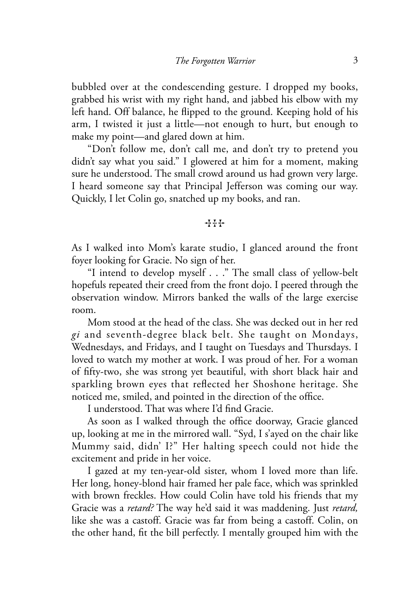bubbled over at the condescending gesture. I dropped my books, grabbed his wrist with my right hand, and jabbed his elbow with my left hand. Off balance, he flipped to the ground. Keeping hold of his arm, I twisted it just a little—not enough to hurt, but enough to make my point—and glared down at him.

"Don't follow me, don't call me, and don't try to pretend you didn't say what you said." I glowered at him for a moment, making sure he understood. The small crowd around us had grown very large. I heard someone say that Principal Jefferson was coming our way. Quickly, I let Colin go, snatched up my books, and ran.

#### $++$

As I walked into Mom's karate studio, I glanced around the front foyer looking for Gracie. No sign of her.

"I intend to develop myself . . ." The small class of yellow-belt hopefuls repeated their creed from the front dojo. I peered through the observation window. Mirrors banked the walls of the large exercise room.

Mom stood at the head of the class. She was decked out in her red *gi* and seventh-degree black belt. She taught on Mondays, Wednesdays, and Fridays, and I taught on Tuesdays and Thursdays. I loved to watch my mother at work. I was proud of her. For a woman of fifty-two, she was strong yet beautiful, with short black hair and sparkling brown eyes that reflected her Shoshone heritage. She noticed me, smiled, and pointed in the direction of the office.

I understood. That was where I'd find Gracie.

As soon as I walked through the office doorway, Gracie glanced up, looking at me in the mirrored wall. "Syd, I s'ayed on the chair like Mummy said, didn' I?" Her halting speech could not hide the excitement and pride in her voice.

I gazed at my ten-year-old sister, whom I loved more than life. Her long, honey-blond hair framed her pale face, which was sprinkled with brown freckles. How could Colin have told his friends that my Gracie was a *retard?* The way he'd said it was maddening. Just *retard,* like she was a castoff. Gracie was far from being a castoff. Colin, on the other hand, fit the bill perfectly. I mentally grouped him with the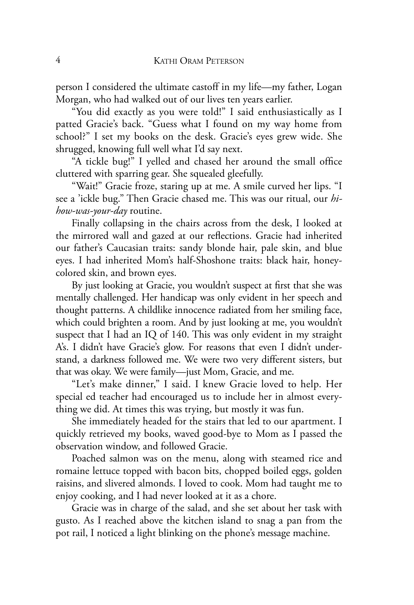person I considered the ultimate castoff in my life—my father, Logan Morgan, who had walked out of our lives ten years earlier.

"You did exactly as you were told!" I said enthusiastically as I patted Gracie's back. "Guess what I found on my way home from school?" I set my books on the desk. Gracie's eyes grew wide. She shrugged, knowing full well what I'd say next.

"A tickle bug!" I yelled and chased her around the small office cluttered with sparring gear. She squealed gleefully.

"Wait!" Gracie froze, staring up at me. A smile curved her lips. "I see a 'ickle bug." Then Gracie chased me. This was our ritual, our *hihow-was-your-day* routine.

Finally collapsing in the chairs across from the desk, I looked at the mirrored wall and gazed at our reflections. Gracie had inherited our father's Caucasian traits: sandy blonde hair, pale skin, and blue eyes. I had inherited Mom's half-Shoshone traits: black hair, honeycolored skin, and brown eyes.

By just looking at Gracie, you wouldn't suspect at first that she was mentally challenged. Her handicap was only evident in her speech and thought patterns. A childlike innocence radiated from her smiling face, which could brighten a room. And by just looking at me, you wouldn't suspect that I had an IQ of 140. This was only evident in my straight A's. I didn't have Gracie's glow. For reasons that even I didn't understand, a darkness followed me. We were two very different sisters, but that was okay. We were family—just Mom, Gracie, and me.

"Let's make dinner," I said. I knew Gracie loved to help. Her special ed teacher had encouraged us to include her in almost everything we did. At times this was trying, but mostly it was fun.

She immediately headed for the stairs that led to our apartment. I quickly retrieved my books, waved good-bye to Mom as I passed the observation window, and followed Gracie.

Poached salmon was on the menu, along with steamed rice and romaine lettuce topped with bacon bits, chopped boiled eggs, golden raisins, and slivered almonds. I loved to cook. Mom had taught me to enjoy cooking, and I had never looked at it as a chore.

Gracie was in charge of the salad, and she set about her task with gusto. As I reached above the kitchen island to snag a pan from the pot rail, I noticed a light blinking on the phone's message machine.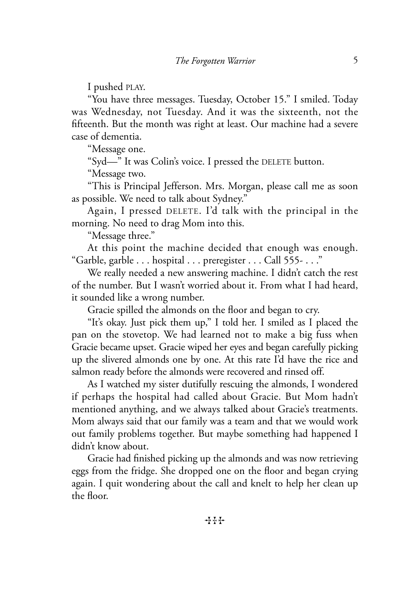I pushed PLAY.

"You have three messages. Tuesday, October 15." I smiled. Today was Wednesday, not Tuesday. And it was the sixteenth, not the fifteenth. But the month was right at least. Our machine had a severe case of dementia.

"Message one.

"Syd—" It was Colin's voice. I pressed the DELETE button.

"Message two.

"This is Principal Jefferson. Mrs. Morgan, please call me as soon as possible. We need to talk about Sydney."

Again, I pressed DELETE. I'd talk with the principal in the morning. No need to drag Mom into this.

"Message three."

At this point the machine decided that enough was enough. "Garble, garble . . . hospital . . . preregister . . . Call 555- . . ."

We really needed a new answering machine. I didn't catch the rest of the number. But I wasn't worried about it. From what I had heard, it sounded like a wrong number.

Gracie spilled the almonds on the floor and began to cry.

"It's okay. Just pick them up," I told her. I smiled as I placed the pan on the stovetop. We had learned not to make a big fuss when Gracie became upset. Gracie wiped her eyes and began carefully picking up the slivered almonds one by one. At this rate I'd have the rice and salmon ready before the almonds were recovered and rinsed off.

As I watched my sister dutifully rescuing the almonds, I wondered if perhaps the hospital had called about Gracie. But Mom hadn't mentioned anything, and we always talked about Gracie's treatments. Mom always said that our family was a team and that we would work out family problems together. But maybe something had happened I didn't know about.

Gracie had finished picking up the almonds and was now retrieving eggs from the fridge. She dropped one on the floor and began crying again. I quit wondering about the call and knelt to help her clean up the floor.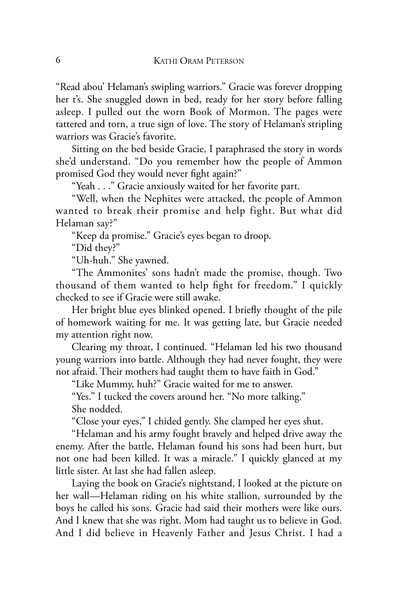"Read abou' Helaman's swipling warriors." Gracie was forever dropping her t's. She snuggled down in bed, ready for her story before falling asleep. I pulled out the worn Book of Mormon. The pages were tattered and torn, a true sign of love. The story of Helaman's stripling warriors was Gracie's favorite.

Sitting on the bed beside Gracie, I paraphrased the story in words she'd understand. "Do you remember how the people of Ammon promised God they would never fight again?"

"Yeah . . ." Gracie anxiously waited for her favorite part.

"Well, when the Nephites were attacked, the people of Ammon wanted to break their promise and help fight. But what did Helaman say?"

"Keep da promise." Gracie's eyes began to droop.

"Did they?"

"Uh-huh." She yawned.

"The Ammonites' sons hadn't made the promise, though. Two thousand of them wanted to help fight for freedom." I quickly checked to see if Gracie were still awake.

Her bright blue eyes blinked opened. I briefly thought of the pile of homework waiting for me. It was getting late, but Gracie needed my attention right now.

Clearing my throat, I continued. "Helaman led his two thousand young warriors into battle. Although they had never fought, they were not afraid. Their mothers had taught them to have faith in God."

"Like Mummy, huh?" Gracie waited for me to answer.

"Yes." I tucked the covers around her. "No more talking." She nodded.

"Close your eyes," I chided gently. She clamped her eyes shut.

"Helaman and his army fought bravely and helped drive away the enemy. After the battle, Helaman found his sons had been hurt, but not one had been killed. It was a miracle." I quickly glanced at my little sister. At last she had fallen asleep.

Laying the book on Gracie's nightstand, I looked at the picture on her wall—Helaman riding on his white stallion, surrounded by the boys he called his sons. Gracie had said their mothers were like ours. And I knew that she was right. Mom had taught us to believe in God. And I did believe in Heavenly Father and Jesus Christ. I had a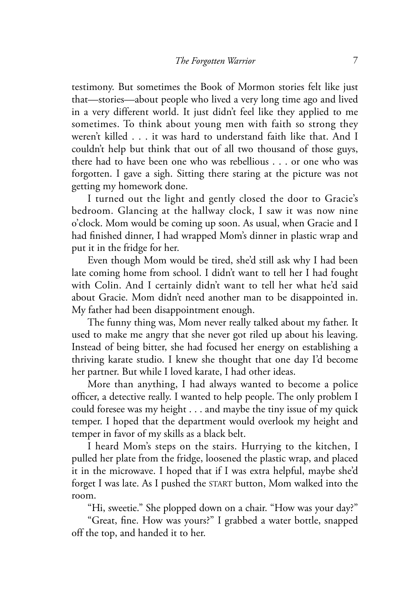testimony. But sometimes the Book of Mormon stories felt like just that—stories—about people who lived a very long time ago and lived in a very different world. It just didn't feel like they applied to me sometimes. To think about young men with faith so strong they weren't killed . . . it was hard to understand faith like that. And I couldn't help but think that out of all two thousand of those guys, there had to have been one who was rebellious . . . or one who was forgotten. I gave a sigh. Sitting there staring at the picture was not getting my homework done.

I turned out the light and gently closed the door to Gracie's bedroom. Glancing at the hallway clock, I saw it was now nine o'clock. Mom would be coming up soon. As usual, when Gracie and I had finished dinner, I had wrapped Mom's dinner in plastic wrap and put it in the fridge for her.

Even though Mom would be tired, she'd still ask why I had been late coming home from school. I didn't want to tell her I had fought with Colin. And I certainly didn't want to tell her what he'd said about Gracie. Mom didn't need another man to be disappointed in. My father had been disappointment enough.

The funny thing was, Mom never really talked about my father. It used to make me angry that she never got riled up about his leaving. Instead of being bitter, she had focused her energy on establishing a thriving karate studio. I knew she thought that one day I'd become her partner. But while I loved karate, I had other ideas.

More than anything, I had always wanted to become a police officer, a detective really. I wanted to help people. The only problem I could foresee was my height . . . and maybe the tiny issue of my quick temper. I hoped that the department would overlook my height and temper in favor of my skills as a black belt.

I heard Mom's steps on the stairs. Hurrying to the kitchen, I pulled her plate from the fridge, loosened the plastic wrap, and placed it in the microwave. I hoped that if I was extra helpful, maybe she'd forget I was late. As I pushed the START button, Mom walked into the room.

"Hi, sweetie." She plopped down on a chair. "How was your day?"

"Great, fine. How was yours?" I grabbed a water bottle, snapped off the top, and handed it to her.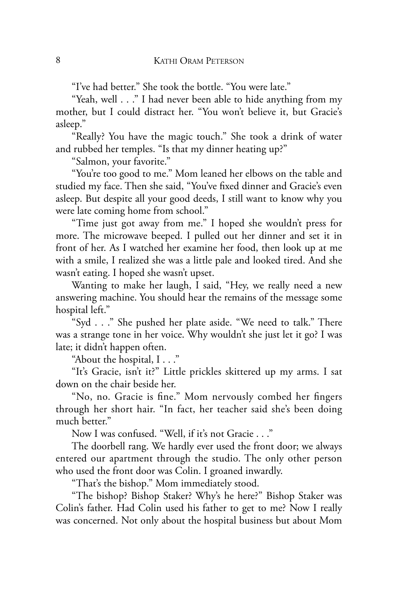"I've had better." She took the bottle. "You were late."

"Yeah, well . . ." I had never been able to hide anything from my mother, but I could distract her. "You won't believe it, but Gracie's asleep."

"Really? You have the magic touch." She took a drink of water and rubbed her temples. "Is that my dinner heating up?"

"Salmon, your favorite."

"You're too good to me." Mom leaned her elbows on the table and studied my face. Then she said, "You've fixed dinner and Gracie's even asleep. But despite all your good deeds, I still want to know why you were late coming home from school."

"Time just got away from me." I hoped she wouldn't press for more. The microwave beeped. I pulled out her dinner and set it in front of her. As I watched her examine her food, then look up at me with a smile, I realized she was a little pale and looked tired. And she wasn't eating. I hoped she wasn't upset.

Wanting to make her laugh, I said, "Hey, we really need a new answering machine. You should hear the remains of the message some hospital left."

"Syd . . ." She pushed her plate aside. "We need to talk." There was a strange tone in her voice. Why wouldn't she just let it go? I was late; it didn't happen often.

"About the hospital, I . . ."

"It's Gracie, isn't it?" Little prickles skittered up my arms. I sat down on the chair beside her.

"No, no. Gracie is fine." Mom nervously combed her fingers through her short hair. "In fact, her teacher said she's been doing much better."

Now I was confused. "Well, if it's not Gracie . . ."

The doorbell rang. We hardly ever used the front door; we always entered our apartment through the studio. The only other person who used the front door was Colin. I groaned inwardly.

"That's the bishop." Mom immediately stood.

"The bishop? Bishop Staker? Why's he here?" Bishop Staker was Colin's father. Had Colin used his father to get to me? Now I really was concerned. Not only about the hospital business but about Mom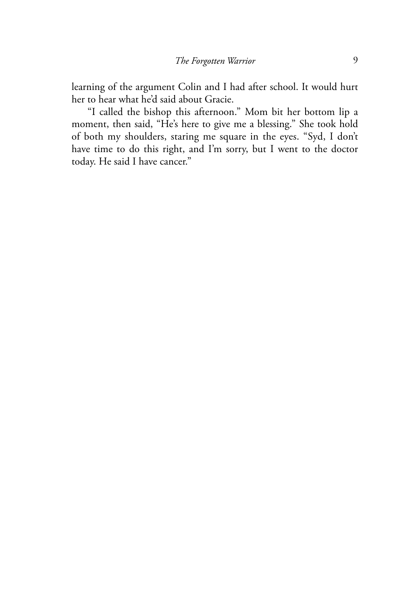learning of the argument Colin and I had after school. It would hurt her to hear what he'd said about Gracie.

"I called the bishop this afternoon." Mom bit her bottom lip a moment, then said, "He's here to give me a blessing." She took hold of both my shoulders, staring me square in the eyes. "Syd, I don't have time to do this right, and I'm sorry, but I went to the doctor today. He said I have cancer."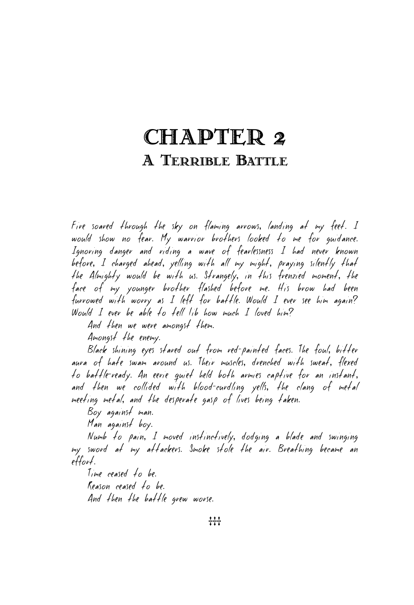# CHAPTER 2 A TERRIBLE BATTLE

Fire soared through the sky on flaming arrows, landing at my feet. I would show no fear. My warrior brothers looked to me for guidance. Ignoring danger and riding a wave of fearlessness I had never known before, I charged ahead, yelling with all my might, praying silently that the Almighty would be with us. Strangely, in this frenzied moment, the face of my younger brother flashed before me. His brow had been furrowed with worry as I left for battle. Would I ever see him again? Would I ever be able to tell Lib how much I loved him?

And then we were amongst them.

Amongst the enemy.

Black shining eyes stared out from red-painted faces. The foul, bitter aura of hate swam around us. Their muscles, drenched with sweat, flexed to battle-ready. An eerie quiet held both armies captive for an instant, and then we collided with blood-curdling yells, the clang of metal meeting metal, and the desperate gasp of lives being taken.

Boy against man.

Man against boy.

Numb to pain, I moved instinctively, dodging a blade and swinging my sword at my attackers. Smoke stole the air. Breathing became an effort.

Time ceased to be. Reason ceased to be. And then the battle grew worse.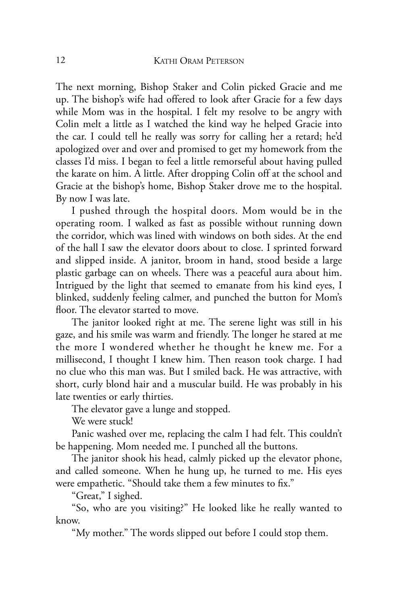The next morning, Bishop Staker and Colin picked Gracie and me up. The bishop's wife had offered to look after Gracie for a few days while Mom was in the hospital. I felt my resolve to be angry with Colin melt a little as I watched the kind way he helped Gracie into the car. I could tell he really was sorry for calling her a retard; he'd apologized over and over and promised to get my homework from the classes I'd miss. I began to feel a little remorseful about having pulled the karate on him. A little. After dropping Colin off at the school and Gracie at the bishop's home, Bishop Staker drove me to the hospital. By now I was late.

I pushed through the hospital doors. Mom would be in the operating room. I walked as fast as possible without running down the corridor, which was lined with windows on both sides. At the end of the hall I saw the elevator doors about to close. I sprinted forward and slipped inside. A janitor, broom in hand, stood beside a large plastic garbage can on wheels. There was a peaceful aura about him. Intrigued by the light that seemed to emanate from his kind eyes, I blinked, suddenly feeling calmer, and punched the button for Mom's floor. The elevator started to move.

The janitor looked right at me. The serene light was still in his gaze, and his smile was warm and friendly. The longer he stared at me the more I wondered whether he thought he knew me. For a millisecond, I thought I knew him. Then reason took charge. I had no clue who this man was. But I smiled back. He was attractive, with short, curly blond hair and a muscular build. He was probably in his late twenties or early thirties.

The elevator gave a lunge and stopped.

We were stuck!

Panic washed over me, replacing the calm I had felt. This couldn't be happening. Mom needed me. I punched all the buttons.

The janitor shook his head, calmly picked up the elevator phone, and called someone. When he hung up, he turned to me. His eyes were empathetic. "Should take them a few minutes to fix."

"Great," I sighed.

"So, who are you visiting?" He looked like he really wanted to know.

"My mother." The words slipped out before I could stop them.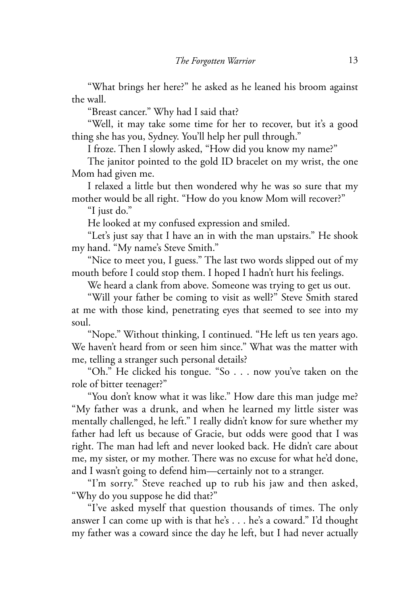"What brings her here?" he asked as he leaned his broom against the wall.

"Breast cancer." Why had I said that?

"Well, it may take some time for her to recover, but it's a good thing she has you, Sydney. You'll help her pull through."

I froze. Then I slowly asked, "How did you know my name?"

The janitor pointed to the gold ID bracelet on my wrist, the one Mom had given me.

I relaxed a little but then wondered why he was so sure that my mother would be all right. "How do you know Mom will recover?"

"I just do."

He looked at my confused expression and smiled.

"Let's just say that I have an in with the man upstairs." He shook my hand. "My name's Steve Smith."

"Nice to meet you, I guess." The last two words slipped out of my mouth before I could stop them. I hoped I hadn't hurt his feelings.

We heard a clank from above. Someone was trying to get us out.

"Will your father be coming to visit as well?" Steve Smith stared at me with those kind, penetrating eyes that seemed to see into my soul.

"Nope." Without thinking, I continued. "He left us ten years ago. We haven't heard from or seen him since." What was the matter with me, telling a stranger such personal details?

"Oh." He clicked his tongue. "So . . . now you've taken on the role of bitter teenager?"

"You don't know what it was like." How dare this man judge me? "My father was a drunk, and when he learned my little sister was mentally challenged, he left." I really didn't know for sure whether my father had left us because of Gracie, but odds were good that I was right. The man had left and never looked back. He didn't care about me, my sister, or my mother. There was no excuse for what he'd done, and I wasn't going to defend him—certainly not to a stranger.

"I'm sorry." Steve reached up to rub his jaw and then asked, "Why do you suppose he did that?"

"I've asked myself that question thousands of times. The only answer I can come up with is that he's . . . he's a coward." I'd thought my father was a coward since the day he left, but I had never actually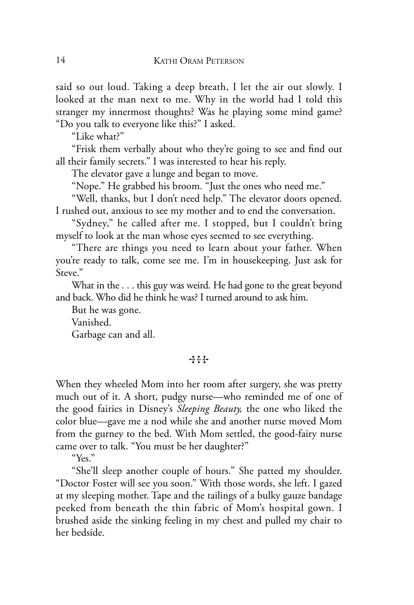said so out loud. Taking a deep breath, I let the air out slowly. I looked at the man next to me. Why in the world had I told this stranger my innermost thoughts? Was he playing some mind game? "Do you talk to everyone like this?" I asked.

"Like what?"

"Frisk them verbally about who they're going to see and find out all their family secrets." I was interested to hear his reply.

The elevator gave a lunge and began to move.

"Nope." He grabbed his broom. "Just the ones who need me."

"Well, thanks, but I don't need help." The elevator doors opened. I rushed out, anxious to see my mother and to end the conversation.

"Sydney," he called after me. I stopped, but I couldn't bring myself to look at the man whose eyes seemed to see everything.

"There are things you need to learn about your father. When you're ready to talk, come see me. I'm in housekeeping. Just ask for Steve."

What in the . . . this guy was weird. He had gone to the great beyond and back. Who did he think he was? I turned around to ask him.

But he was gone.

Vanished. Garbage can and all.

#### $+ + +$

When they wheeled Mom into her room after surgery, she was pretty much out of it. A short, pudgy nurse—who reminded me of one of the good fairies in Disney's *Sleeping Beauty,* the one who liked the color blue—gave me a nod while she and another nurse moved Mom from the gurney to the bed. With Mom settled, the good-fairy nurse came over to talk. "You must be her daughter?"

"Yes."

"She'll sleep another couple of hours." She patted my shoulder. "Doctor Foster will see you soon." With those words, she left. I gazed at my sleeping mother. Tape and the tailings of a bulky gauze bandage peeked from beneath the thin fabric of Mom's hospital gown. I brushed aside the sinking feeling in my chest and pulled my chair to her bedside.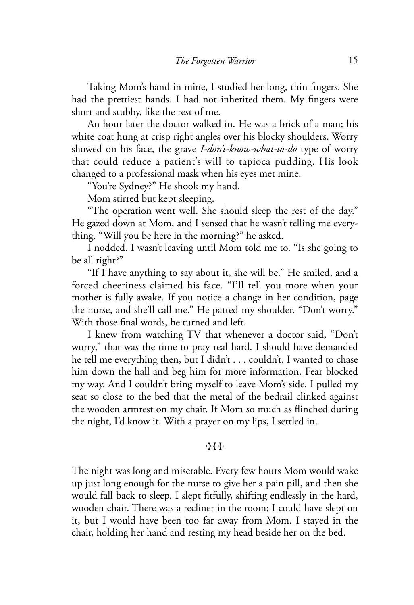Taking Mom's hand in mine, I studied her long, thin fingers. She had the prettiest hands. I had not inherited them. My fingers were short and stubby, like the rest of me.

An hour later the doctor walked in. He was a brick of a man; his white coat hung at crisp right angles over his blocky shoulders. Worry showed on his face, the grave *I-don't-know-what-to-do* type of worry that could reduce a patient's will to tapioca pudding. His look changed to a professional mask when his eyes met mine.

"You're Sydney?" He shook my hand.

Mom stirred but kept sleeping.

"The operation went well. She should sleep the rest of the day." He gazed down at Mom, and I sensed that he wasn't telling me everything. "Will you be here in the morning?" he asked.

I nodded. I wasn't leaving until Mom told me to. "Is she going to be all right?"

"If I have anything to say about it, she will be." He smiled, and a forced cheeriness claimed his face. "I'll tell you more when your mother is fully awake. If you notice a change in her condition, page the nurse, and she'll call me." He patted my shoulder. "Don't worry." With those final words, he turned and left.

I knew from watching TV that whenever a doctor said, "Don't worry," that was the time to pray real hard. I should have demanded he tell me everything then, but I didn't . . . couldn't. I wanted to chase him down the hall and beg him for more information. Fear blocked my way. And I couldn't bring myself to leave Mom's side. I pulled my seat so close to the bed that the metal of the bedrail clinked against the wooden armrest on my chair. If Mom so much as flinched during the night, I'd know it. With a prayer on my lips, I settled in.

#### $+1 + 1$

The night was long and miserable. Every few hours Mom would wake up just long enough for the nurse to give her a pain pill, and then she would fall back to sleep. I slept fitfully, shifting endlessly in the hard, wooden chair. There was a recliner in the room; I could have slept on it, but I would have been too far away from Mom. I stayed in the chair, holding her hand and resting my head beside her on the bed.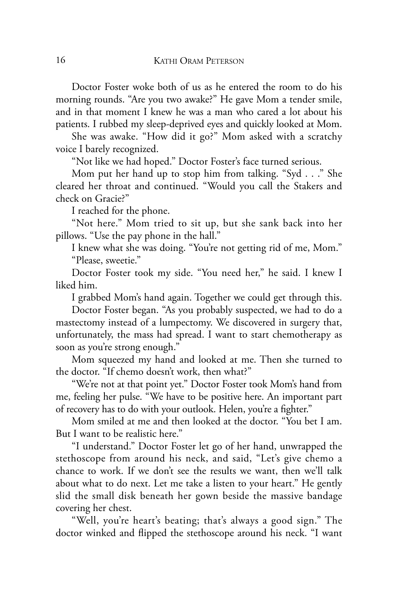Doctor Foster woke both of us as he entered the room to do his morning rounds. "Are you two awake?" He gave Mom a tender smile, and in that moment I knew he was a man who cared a lot about his patients. I rubbed my sleep-deprived eyes and quickly looked at Mom.

She was awake. "How did it go?" Mom asked with a scratchy voice I barely recognized.

"Not like we had hoped." Doctor Foster's face turned serious.

Mom put her hand up to stop him from talking. "Syd . . ." She cleared her throat and continued. "Would you call the Stakers and check on Gracie?"

I reached for the phone.

"Not here." Mom tried to sit up, but she sank back into her pillows. "Use the pay phone in the hall."

I knew what she was doing. "You're not getting rid of me, Mom." "Please, sweetie."

Doctor Foster took my side. "You need her," he said. I knew I liked him.

I grabbed Mom's hand again. Together we could get through this.

Doctor Foster began. "As you probably suspected, we had to do a mastectomy instead of a lumpectomy. We discovered in surgery that, unfortunately, the mass had spread. I want to start chemotherapy as soon as you're strong enough."

Mom squeezed my hand and looked at me. Then she turned to the doctor. "If chemo doesn't work, then what?"

"We're not at that point yet." Doctor Foster took Mom's hand from me, feeling her pulse. "We have to be positive here. An important part of recovery has to do with your outlook. Helen, you're a fighter."

Mom smiled at me and then looked at the doctor. "You bet I am. But I want to be realistic here."

"I understand." Doctor Foster let go of her hand, unwrapped the stethoscope from around his neck, and said, "Let's give chemo a chance to work. If we don't see the results we want, then we'll talk about what to do next. Let me take a listen to your heart." He gently slid the small disk beneath her gown beside the massive bandage covering her chest.

"Well, you're heart's beating; that's always a good sign." The doctor winked and flipped the stethoscope around his neck. "I want